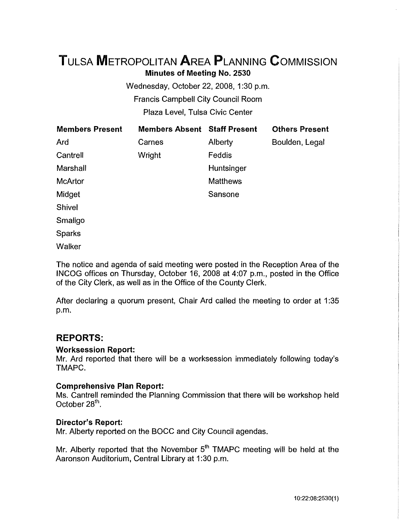# **TuLSA METROPOLITAN AREA PLANNING CoMMISSION Minutes of Meeting No. 2530**

Wednesday, October 22, 2008, 1:30 p.m. Francis Campbell City Council Room Plaza Level, Tulsa Civic Center

| <b>Members Present</b> | <b>Members Absent Staff Present</b> |                 | <b>Others Present</b> |
|------------------------|-------------------------------------|-----------------|-----------------------|
| Ard                    | Carnes                              | Alberty         | Boulden, Legal        |
| Cantrell               | Wright                              | Feddis          |                       |
| Marshall               |                                     | Huntsinger      |                       |
| <b>McArtor</b>         |                                     | <b>Matthews</b> |                       |
| Midget                 |                                     | Sansone         |                       |
| Shivel                 |                                     |                 |                       |
| Smaligo                |                                     |                 |                       |
| <b>Sparks</b>          |                                     |                 |                       |
| Walker                 |                                     |                 |                       |

The notice and agenda of said meeting were posted in the Reception Area of the INCOG offices on Thursday, October 16, 2008 at 4:07 p.m., posted in the Office of the City Clerk, as well as in the Office of the County Clerk.

After declaring a quorum present, Chair Ard called the meeting to order at 1:35 p.m.

## **REPORTS:**

### **Worksession Report:**

Mr. Ard reported that there will be a worksession immediately following today's TMAPC.

### **Comprehensive Plan Report:**

Ms. Cantrell reminded the Planning Commission that there will be workshop held October 28<sup>th</sup>.

### **Director's Report:**

Mr. Alberty reported on the BOCC and City Council agendas.

Mr. Alberty reported that the November 5<sup>th</sup> TMAPC meeting will be held at the Aaronson Auditorium, Central Library at 1:30 p.m.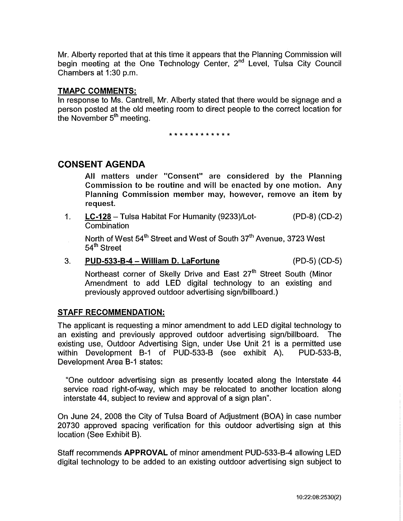Mr. Alberty reported that at this time it appears that the Planning Commission will begin meeting at the One Technology Center, 2<sup>nd</sup> Level, Tulsa City Council Chambers at 1:30 p.m.

### **TMAPC COMMENTS:**

In response to Ms. Cantrell, Mr. Alberty stated that there would be signage and a person posted at the old meeting room to direct people to the correct location for the November  $5<sup>th</sup>$  meeting.

\* \* \* \* \* \* \* \* \* \* \* \*

### **CONSENT AGENDA**

 $\bar{z}$ 

All matters under "Consent" are considered by the Planning Commission to be routine and will be enacted by one motion. Any Planning Commission member may, however, remove an item by request.

1. **LC-128-** Tulsa Habitat For Humanity (9233)/Lot- (PD-8) (CD-2) **Combination** 

North of West 54<sup>th</sup> Street and West of South 37<sup>th</sup> Avenue, 3723 West 54<sup>th</sup> Street

#### 3. **PUD-533-B-4- William D. LaFortune** (PD-5) (CD-5)

Northeast corner of Skelly Drive and East 27<sup>th</sup> Street South (Minor Amendment to add LED digital technology to an existing and previously approved outdoor advertising sign/billboard.)

### **STAFF RECOMMENDATION:**

The applicant is requesting a minor amendment to add LED digital technology to an existing and previously approved outdoor advertising sign/billboard. The existing use, Outdoor Advertising Sign, under Use Unit 21 is a permitted use within Development B-1 of PUD-533-B (see exhibit A). PUD-533-B, Development Area B-1 states:

"One outdoor advertising sign as presently located along the Interstate 44 service road right-of-way, which may be relocated to another location along interstate 44, subject to review and approval of a sign plan".

On June 24, 2008 the City of Tulsa Board of Adjustment (BOA) in case number 20730 approved spacing verification for this outdoor advertising sign at this location (See Exhibit B).

Staff recommends **APPROVAL** of minor amendment PUD-533-B-4 allowing LED digital technology to be added to an existing outdoor advertising sign subject to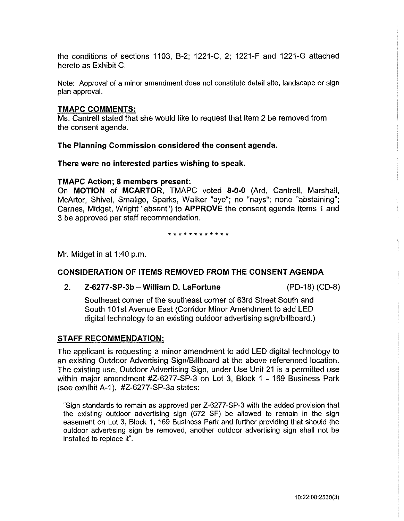the conditions of sections 1103, B-2; 1221-C, 2; 1221-F and 1221-G attached hereto as Exhibit C.

Note: Approval of a minor amendment does not constitute detail site, landscape or sign plan approval.

### **TMAPC COMMENTS:**

Ms. Cantrell stated that she would like to request that Item 2 be removed from the consent agenda.

**The Planning Commission considered the consent agenda.** 

**There were no interested parties wishing to speak.** 

### **TMAPC Action; 8 members present:**

On **MOTION of MCARTOR,** TMAPC voted **8-0-0** (Ard, Cantrell, Marshall, McArtor, Shivel, Smaligo, Sparks, Walker "aye"; no "nays"; none "abstaining"; Carnes, Midget, Wright "absent") to **APPROVE** the consent agenda Items 1 and 3 be approved per staff recommendation.

\* \* \* \* \* \* \* \* \* \* \* \*

Mr. Midget in at 1 :40 p.m.

### **CONSIDERATION OF ITEMS REMOVED FROM THE CONSENT AGENDA**

2. **Z-6277-SP·3b- William D. LaFortune** (PD-18) (CD-8)

Southeast corner of the southeast corner of 63rd Street South and South 101st Avenue East (Corridor Minor Amendment to add LED digital technology to an existing outdoor advertising sign/billboard.)

### **STAFF RECOMMENDATION:**

The applicant is requesting a minor amendment to add **LED** digital technology to an existing Outdoor Advertising Sign/Billboard at the above referenced location. The existing use, Outdoor Advertising Sign, under Use Unit 21 is a permitted use within major amendment #Z-6277-SP-3 on Lot 3, Block 1 - 169 Business Park (see exhibit A-1 ). #Z-6277 -SP-3a states:

"Sign standards to remain as approved per Z-6277-SP-3 with the added provision that the existing outdoor advertising sign (672 SF) be allowed to remain in the sign easement on Lot 3, Block 1, 169 Business Park and further providing that should the outdoor advertising sign be removed, another outdoor advertising sign shall not be installed to replace it".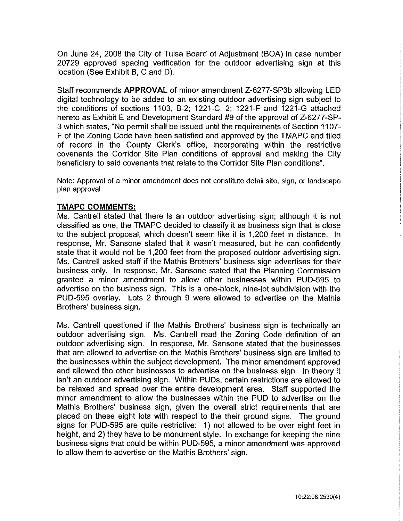On June 24, 2008 the City of Tulsa Board of Adjustment (BOA) in case number 20729 approved spacing verification for the outdoor advertising sign at this location (See Exhibit B, C and D).

Staff recommends **APPROVAL** of minor amendment Z-6277-SP3b allowing LED digital technology to be added to an existing outdoor advertising sign subject to the conditions of sections 1103, B-2; 1221-C, 2; 1221-F and 1221-G attached hereto as Exhibit E and Development Standard #9 of the approval of Z-6277-SP-3 which states, "No permit shall be issued until the requirements of Section 1107- F of the Zoning Code have been satisfied and approved by the TMAPC and filed of record in the County Clerk's office, incorporating within the restrictive covenants the Corridor Site Plan conditions of approval and making the City beneficiary to said covenants that relate to the Corridor Site Plan conditions".

Note: Approval of a minor amendment does not constitute detail site, sign, or landscape plan approval

### **TMAPC COMMENTS:**

Ms. Cantrell stated that there is an outdoor advertising sign; although it is not classified as one, the TMAPC decided to classify it as business sign that is close to the subject proposal, which doesn't seem like it is 1 ,200 feet in distance. In response, Mr. Sansone stated that it wasn't measured, but he can confidently state that it would not be 1,200 feet from the proposed outdoor advertising sign. Ms. Cantrell asked staff if the Mathis Brothers' business sign advertises for their business only. In response, Mr. Sansone stated that the Planning Commission granted a minor amendment to allow other businesses within PUD-595 to advertise on the business sign. This is a one-block, nine-lot subdivision with the PUD-595 overlay. Lots 2 through 9 were allowed to advertise on the Mathis Brothers' business sign.

Ms. Cantrell questioned if the Mathis Brothers' business sign is technically an outdoor advertising sign. Ms. Cantrell read the Zoning Code definition of an outdoor advertising sign. In response, Mr. Sansone stated that the businesses that are allowed to advertise on the Mathis Brothers' business sign are limited to the businesses within the subject development. The minor amendment approved and allowed the other businesses to advertise on the business sign. In theory it isn't an outdoor advertising sign. Within PUDs, certain restrictions are allowed to be relaxed and spread over the entire development area. Staff supported the minor amendment to allow the businesses within the PUD to advertise on the Mathis Brothers' business sign, given the overall strict requirements that are placed on these eight lots with respect to the their ground signs. The ground signs for PUD-595 are quite restrictive: 1) not allowed to be over eight feet in height, and 2) they have to be monument style. In exchange for keeping the nine business signs that could be within PUD-595, a minor amendment was approved to allow them to advertise on the Mathis Brothers' sign.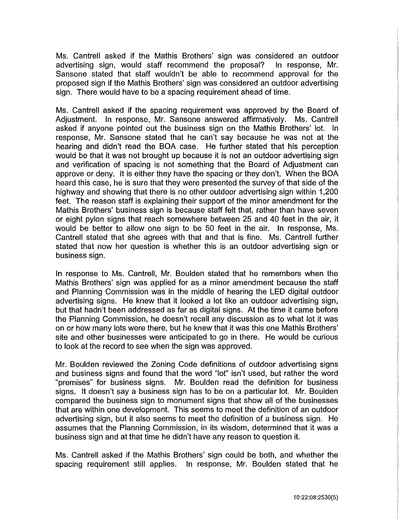Ms. Cantrell asked if the Mathis Brothers' sign was considered an outdoor advertising sign, would staff recommend the proposal? In response, Mr. Sansone stated that staff wouldn't be able to recommend approval for the proposed sign if the Mathis Brothers' sign was considered an outdoor advertising sign. There would have to be a spacing requirement ahead of time.

Ms. Cantrell asked if the spacing requirement was approved by the Board of Adjustment. In response, Mr. Sansone answered affirmatively. Ms. Cantrell asked if anyone pointed out the business sign on the Mathis Brothers' lot. In response, Mr. Sansone stated that he can't say because he was not at the hearing and didn't read the BOA case. He further stated that his perception would be that it was not brought up because it is not an outdoor advertising sign and verification of spacing is not something that the Board of Adjustment can approve or deny. It is either they have the spacing or they don't. When the BOA heard this case, he is sure that they were presented the survey of that side of the highway and showing that there is no other outdoor advertising sign within 1 ,200 feet. The reason staff is explaining their support of the minor amendment for the Mathis Brothers' business sign is because staff felt that, rather than have seven or eight pylon signs that reach somewhere between 25 and 40 feet in the air, it would be better to allow one sign to be 50 feet in the air. In response, Ms. Cantrell stated that she agrees with that and that is fine. Ms. Cantrell further stated that now her question is whether this is an outdoor advertising sign or business sign.

In response to Ms. Cantrell, Mr. Boulden stated that he remembers when the Mathis Brothers' sign was applied for as a minor amendment because the staff and Planning Commission was in the middle of hearing the LED digital outdoor advertising signs. He knew that it looked a lot like an outdoor advertising sign, but that hadn't been addressed as far as digital signs. At the time it came before the Planning Commission, he doesn't recall any discussion as to what lot it was on or how many lots were there, but he knew that it was this one Mathis Brothers' site and other businesses were anticipated to go in there. He would be curious to look at the record to see when the sign was approved.

Mr. Boulden reviewed the Zoning Code definitions of outdoor advertising signs and business signs and found that the word "lot" isn't used, but rather the word "premises" for business signs. Mr. Boulden read the definition for business signs. It doesn't say a business sign has to be on a particular lot. Mr. Boulden compared the business sign to monument signs that show all of the businesses that are within one development. This seems to meet the definition of an outdoor advertising sign, but it also seems to meet the definition of a business sign. He assumes that the Planning Commission, in its wisdom, determined that it was a business sign and at that time he didn't have any reason to question it.

Ms. Cantrell asked if the Mathis Brothers' sign could be both, and whether the spacing requirement still applies. In response, Mr. Boulden stated that he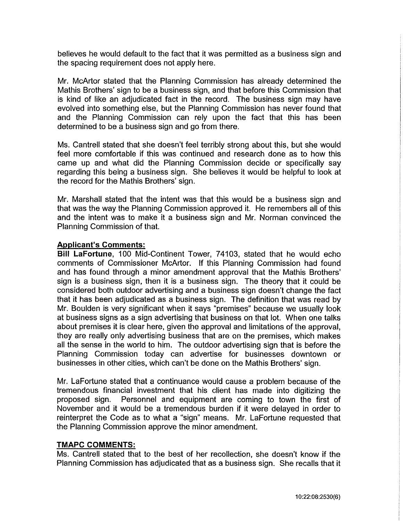believes he would default to the fact that it was permitted as a business sign and the spacing requirement does not apply here.

Mr. McArtor stated that the Planning Commission has already determined the Mathis Brothers' sign to be a business sign, and that before this Commission that is kind of like an adjudicated fact in the record. The business sign may have evolved into something else, but the Planning Commission has never found that and the Planning Commission can rely upon the fact that this has been determined to be a business sign and go from there.

Ms. Cantrell stated that she doesn't feel terribly strong about this, but she would feel more comfortable if this was continued and research done as to how this came up and what did the Planning Commission decide or specifically say regarding this being a business sign. She believes it would be helpful to look at the record for the Mathis Brothers' sign.

Mr. Marshall stated that the intent was that this would be a business sign and that was the way the Planning Commission approved it. He remembers all of this and the intent was to make it a business sign and Mr. Norman convinced the Planning Commission of that.

### **Applicant's Comments:**

**Bill LaFortune,** 100 Mid-Continent Tower, 74103, stated that he would echo comments of Commissioner McArtor. If this Planning Commission had found and has found through a minor amendment approval that the Mathis Brothers' sign is a business sign, then it is a business sign. The theory that it could be considered both outdoor advertising and a business sign doesn't change the fact that it has been adjudicated as a business sign. The definition that was read by Mr. Boulden is very significant when it says "premises" because we usually look at business signs as a sign advertising that business on that lot. When one talks about premises it is clear here, given the approval and limitations of the approval, they are really only advertising business that are on the premises, which makes all the sense in the world to him. The outdoor advertising sign that is before the Planning Commission today can advertise for businesses downtown or businesses in other cities, which can't be done on the Mathis Brothers' sign.

Mr. LaFortune stated that a continuance would cause a problem because of the tremendous financial investment that his client has made into digitizing the proposed sign. Personnel and equipment are coming to town the first of November and it would be a tremendous burden if it were delayed in order to reinterpret the Code as to what a "sign" means. Mr. LaFortune requested that the Planning Commission approve the minor amendment.

#### **TMAPC COMMENTS:**

Ms. Cantrell stated that to the best of her recollection, she doesn't know if the Planning Commission has adjudicated that as a business sign. She recalls that it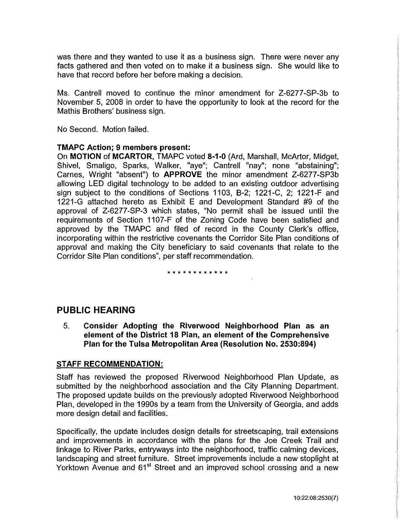was there and they wanted to use it as a business sign. There were never any facts gathered and then voted on to make it a business sign. She would like to have that record before her before making a decision.

Ms. Cantrell moved to continue the minor amendment for Z-6277-SP-3b to November 5, 2008 in order to have the opportunity to look at the record for the Mathis Brothers' business sign.

No Second. Motion failed.

### **TMAPC Action; 9 members present:**

On **MOTION of MCARTOR,** TMAPC voted **8-1-0** (Ard, Marshall, McArtor, Midget, Shivel, Smaligo, Sparks, Walker, "aye"; Cantrell "nay"; none "abstaining"; Carnes, Wright "absent") to **APPROVE** the minor amendment Z-6277-SP3b allowing LED digital technology to be added to an existing outdoor advertising sign subject to the conditions of Sections 1103, B-2; 1221-C, 2; 1221-F and 1221-G attached hereto as Exhibit E and Development Standard #9 of the approval of Z-6277 -SP-3 which states, "No permit shall be issued until the requirements of Section 1107 -F of the Zoning Code have been satisfied and approved by the TMAPC and filed of record in the County Clerk's office, incorporating within the restrictive covenants the Corridor Site Plan conditions of approval and making the City beneficiary to said covenants that relate to the Corridor Site Plan conditions", per staff recommendation.

#### \* \* \* \* \* \* \* \* \* \* \* \*

## **PUBLIC HEARING**

5. **Consider Adopting the Riverwood Neighborhood Plan as an element of the District 18 Plan, an element of the Comprehensive Plan for the Tulsa Metropolitan Area (Resolution No. 2530:894)** 

### **STAFF RECOMMENDATION:**

Staff has reviewed the proposed Riverwood Neighborhood Plan Update, as submitted by the neighborhood association and the City Planning Department. The proposed update builds on the previously adopted Riverwood Neighborhood Plan, developed in the 1990s by a team from the University of Georgia, and adds more design detail and facilities.

Specifically, the update includes design details for streetscaping, trail extensions and improvements in accordance with the plans for the Joe Creek Trail and linkage to River Parks, entryways into the neighborhood, traffic calming devices, landscaping and street furniture. Street improvements include a new stoplight at Yorktown Avenue and 61<sup>st</sup> Street and an improved school crossing and a new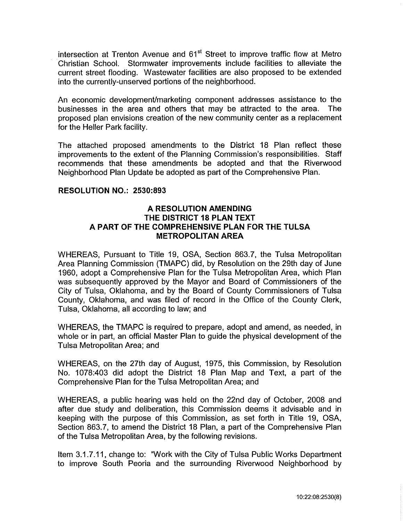intersection at Trenton Avenue and  $61<sup>st</sup>$  Street to improve traffic flow at Metro Christian School. Stormwater improvements include facilities to alleviate the current street flooding. Wastewater facilities are also proposed to be extended into the currently-unserved portions of the neighborhood.

An economic development/marketing component addresses assistance to the businesses in the area and others that may be attracted to the area. The proposed plan envisions creation of the new community center as a replacement for the Heller Park facility.

The attached proposed amendments to the District 18 Plan reflect these improvements to the extent of the Planning Commission's responsibilities. Staff recommends that these amendments be adopted and that the Riverwood Neighborhood Plan Update be adopted as part of the Comprehensive Plan.

### **RESOLUTION NO.: 2530:893**

### **A RESOLUTION AMENDING THE DISTRICT 18 PLAN TEXT A PART OF THE COMPREHENSIVE PLAN FOR THE TULSA METROPOLITAN AREA**

WHEREAS, Pursuant to Title 19, OSA, Section 863.7, the Tulsa Metropolitan Area Planning Commission (TMAPC) did, by Resolution on the 29th day of June 1960, adopt a Comprehensive Plan for the Tulsa Metropolitan Area, which Plan was subsequently approved by the Mayor and Board of Commissioners of the City of Tulsa, Oklahoma, and by the Board of County Commissioners of Tulsa County, Oklahoma, and was filed of record in the Office of the County Clerk, Tulsa, Oklahoma, all according to law; and

WHEREAS, the TMAPC is required to prepare, adopt and amend, as needed, in whole or in part, an official Master Plan to guide the physical development of the Tulsa Metropolitan Area; and

WHEREAS, on the 27th day of August, 1975, this Commission, by Resolution No. 1078:403 did adopt the District 18 Plan Map and Text, a part of the Comprehensive Plan for the Tulsa Metropolitan Area; and

WHEREAS, a public hearing was held on the 22nd day of October, 2008 and after due study and deliberation, this Commission deems it advisable and in keeping with the purpose of this Commission, as set forth in Title 19, OSA, Section 863.7, to amend the District 18 Plan, a part of the Comprehensive Plan of the Tulsa Metropolitan Area, by the following revisions.

Item 3.1.7.11, change to: "Work with the City of Tulsa Public Works Department to improve South Peoria and the surrounding Riverwood Neighborhood by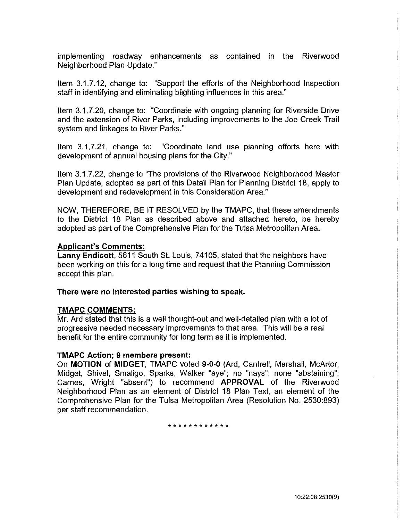implementing roadway enhancements as contained in the Riverwood Neighborhood Plan Update."

Item 3.1.7.12, change to: "Support the efforts of the Neighborhood Inspection staff in identifying and eliminating blighting influences in this area."

Item 3.1.7.20, change to: "Coordinate with ongoing planning for Riverside Drive and the extension of River Parks, including improvements to the Joe Creek Trail system and linkages to River Parks."

Item 3.1.7.21, change to: "Coordinate land use planning efforts here with development of annual housing plans for the City."

Item 3.1.7.22, change to "The provisions of the Riverwood Neighborhood Master" Plan Update, adopted as part of this Detail Plan for Planning District 18, apply to development and redevelopment in this Consideration Area."

NOW, THEREFORE, BE IT RESOLVED by the TMAPC, that these amendments to the District 18 Plan as described above and attached hereto, be hereby adopted as part of the Comprehensive Plan for the Tulsa Metropolitan Area.

### **Applicant's Comments:**

**Lanny Endicott,** 5611 South St. Louis, 74105, stated that the neighbors have been working on this for a long time and request that the Planning Commission accept this plan.

#### **There were no interested parties wishing to speak.**

### **TMAPC COMMENTS:**

Mr. Ard stated that this is a well thought-out and well-detailed plan with a lot of progressive needed necessary improvements to that area. This will be a real benefit for the entire community for long term as it is implemented.

### **TMAPC Action; 9 members present:**

On **MOTION of MIDGET,** TMAPC voted **9-0-0** (Ard, Cantrell, Marshall, McArtor, Midget, Shive!, Smaligo, Sparks, Walker "aye"; no "nays"; none "abstaining"; Carnes, Wright "absent") to recommend **APPROVAL** of the Riverwood Neighborhood Plan as an element of District 18 Plan Text, an element of the Comprehensive Plan for the Tulsa Metropolitan Area (Resolution No. 2530:893) per staff recommendation.

\* \* \* \* \* \* \* \* \* \* \* \*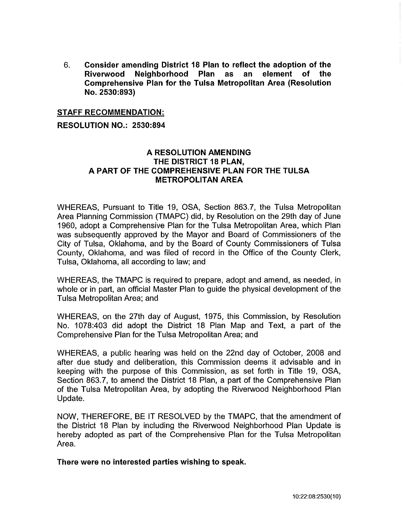6. **Consider amending District 18 Plan to reflect the adoption of the Riverwood Neighborhood Plan as an element of the Comprehensive Plan for the Tulsa Metropolitan Area (Resolution No. 2530:893)** 

### **STAFF RECOMMENDATION:**

### **RESOLUTION NO.: 2530:894**

### **A RESOLUTION AMENDING THE DISTRICT 18 PLAN, A PART OF THE COMPREHENSIVE PLAN FOR THE TULSA METROPOLITAN AREA**

WHEREAS, Pursuant to Title 19, OSA, Section 863.7, the Tulsa Metropolitan Area Planning Commission (TMAPC) did, by Resolution on the 29th day of June 1960, adopt a Comprehensive Plan for the Tulsa Metropolitan Area, which Plan was subsequently approved by the Mayor and Board of Commissioners of the City of Tulsa, Oklahoma, and by the Board of County Commissioners of Tulsa County, Oklahoma, and was filed of record in the Office of the County Clerk, Tulsa, Oklahoma, all according to law; and

WHEREAS, the TMAPC is required to prepare, adopt and amend, as needed, in whole or in part, an official Master Plan to guide the physical development of the Tulsa Metropolitan Area; and

WHEREAS, on the 27th day of August, 1975, this Commission, by Resolution No. 1078:403 did adopt the District 18 Plan Map and Text, a part of the Comprehensive Plan for the Tulsa Metropolitan Area; and

WHEREAS, a public hearing was held on the 22nd day of October, 2008 and after due study and deliberation, this Commission deems it advisable and in keeping with the purpose of this Commission, as set forth in Title 19, OSA, Section 863.7, to amend the District 18 Plan, a part of the Comprehensive Plan of the Tulsa Metropolitan Area, by adopting the Riverwood Neighborhood Plan Update.

NOW, THEREFORE, BE IT RESOLVED by the TMAPC, that the amendment of the District 18 Plan by including the Riverwood Neighborhood Plan Update is hereby adopted as part of the Comprehensive Plan for the Tulsa Metropolitan Area.

**There were no interested parties wishing to speak.**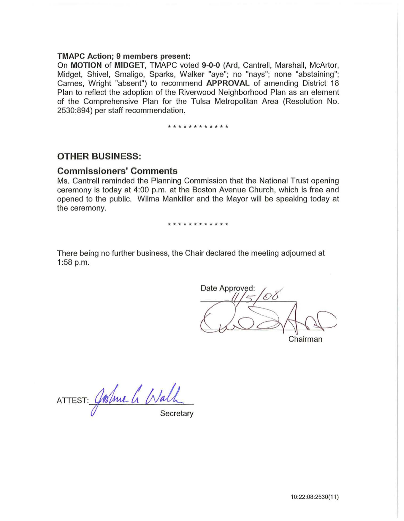#### **TMAPC Action; 9 members present:**

On **MOTION of MIDGET,** TMAPC voted **9-0-0** (Ard, Cantrell, Marshall, McArtor, Midget, Shivel, Smaligo, Sparks, Walker "aye"; no "nays"; none "abstaining"; Carnes, Wright "absent") to recommend **APPROVAL** of amending District 18 Plan to reflect the adoption of the Riverwood Neighborhood Plan as an element of the Comprehensive Plan for the Tulsa Metropolitan Area (Resolution No. 2530:894) per staff recommendation.

\* \* \* \* \* \* \* \* \* \* \*

### **OTHER BUSINESS:**

## **Commissioners' Comments**

Ms. Cantrell reminded the Planning Commission that the National Trust opening ceremony is today at 4:00 p.m. at the Boston Avenue Church, which is free and opened to the public. Wilma Mankiller and the Mayor will be speaking today at the ceremony.

#### \*\*\*\*\*\*\*\*\*\*\*\*

There being no further business, the Chair declared the meeting adjourned at 1:58 p.m.

Date Approved: Chairman

ATTEST: Joshue Le Walk **Secretary**